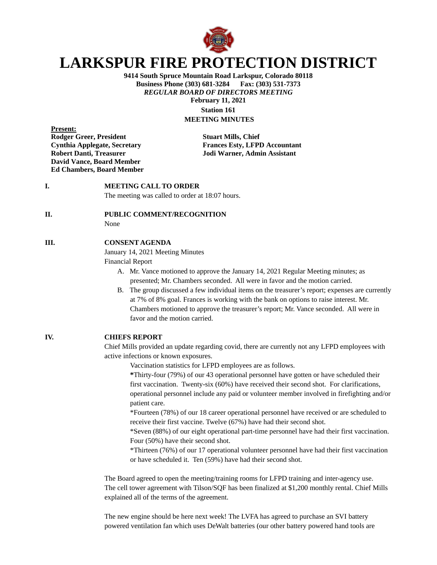

# **LARKSPUR FIRE PROTECTION DISTRICT**

**9414 South Spruce Mountain Road Larkspur, Colorado 80118 Business Phone (303) 681-3284 Fax: (303) 531-7373** *REGULAR BOARD OF DIRECTORS MEETING* **February 11, 2021 Station 161 MEETING MINUTES**

**Present: Rodger Greer, President Stuart Mills, Chief David Vance, Board Member Ed Chambers, Board Member**

**Cynthia Applegate, Secretary Frances Esty, LFPD Accountant Robert Danti, Treasurer Jodi Warner, Admin Assistant**

# **I. MEETING CALL TO ORDER**

The meeting was called to order at 18:07 hours.

#### **II. PUBLIC COMMENT/RECOGNITION**

None

#### **III. CONSENT AGENDA**

January 14, 2021 Meeting Minutes

Financial Report

- A. Mr. Vance motioned to approve the January 14, 2021 Regular Meeting minutes; as presented; Mr. Chambers seconded. All were in favor and the motion carried.
- B. The group discussed a few individual items on the treasurer's report; expenses are currently at 7% of 8% goal. Frances is working with the bank on options to raise interest. Mr. Chambers motioned to approve the treasurer's report; Mr. Vance seconded. All were in favor and the motion carried.

## **IV. CHIEFS REPORT**

Chief Mills provided an update regarding covid, there are currently not any LFPD employees with active infections or known exposures.

Vaccination statistics for LFPD employees are as follows.

**\***Thirty-four (79%) of our 43 operational personnel have gotten or have scheduled their first vaccination. Twenty-six (60%) have received their second shot. For clarifications, operational personnel include any paid or volunteer member involved in firefighting and/or patient care.

\*Fourteen (78%) of our 18 career operational personnel have received or are scheduled to receive their first vaccine. Twelve (67%) have had their second shot.

\*Seven (88%) of our eight operational part-time personnel have had their first vaccination. Four (50%) have their second shot.

\*Thirteen (76%) of our 17 operational volunteer personnel have had their first vaccination or have scheduled it. Ten (59%) have had their second shot.

The Board agreed to open the meeting/training rooms for LFPD training and inter-agency use. The cell tower agreement with Tilson/SQF has been finalized at \$1,200 monthly rental. Chief Mills explained all of the terms of the agreement.

The new engine should be here next week! The LVFA has agreed to purchase an SVI battery powered ventilation fan which uses DeWalt batteries (our other battery powered hand tools are